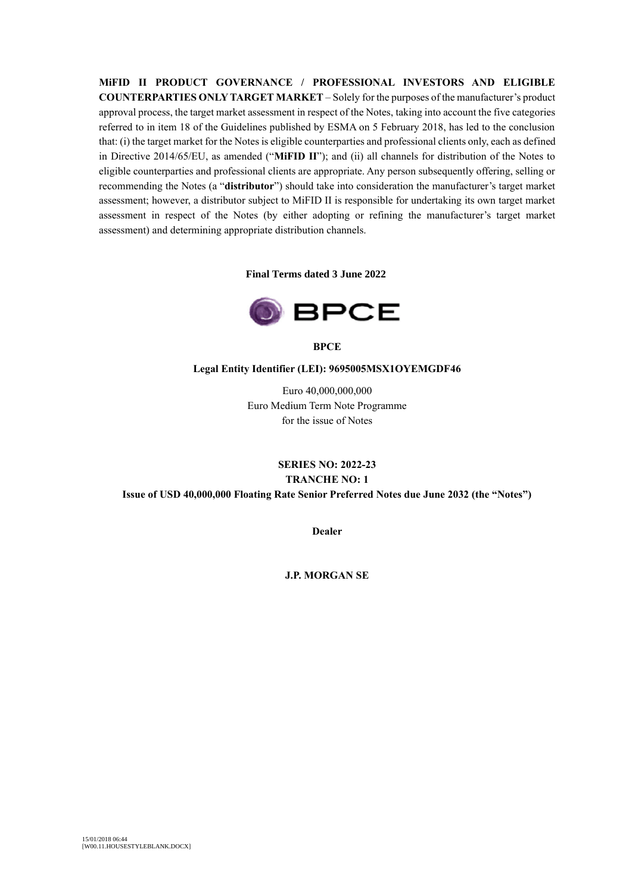**MiFID II PRODUCT GOVERNANCE / PROFESSIONAL INVESTORS AND ELIGIBLE COUNTERPARTIES ONLY TARGET MARKET** – Solely for the purposes of the manufacturer's product approval process, the target market assessment in respect of the Notes, taking into account the five categories referred to in item 18 of the Guidelines published by ESMA on 5 February 2018, has led to the conclusion that: (i) the target market for the Notes is eligible counterparties and professional clients only, each as defined in Directive 2014/65/EU, as amended ("**MiFID II**"); and (ii) all channels for distribution of the Notes to eligible counterparties and professional clients are appropriate. Any person subsequently offering, selling or recommending the Notes (a "**distributor**") should take into consideration the manufacturer's target market assessment; however, a distributor subject to MiFID II is responsible for undertaking its own target market assessment in respect of the Notes (by either adopting or refining the manufacturer's target market assessment) and determining appropriate distribution channels.

# **Final Terms dated 3 June 2022**



**BPCE**

## **Legal Entity Identifier (LEI): 9695005MSX1OYEMGDF46**

Euro 40,000,000,000 Euro Medium Term Note Programme for the issue of Notes

# **SERIES NO: 2022-23 TRANCHE NO: 1**

**Issue of USD 40,000,000 Floating Rate Senior Preferred Notes due June 2032 (the "Notes")**

**Dealer**

**J.P. MORGAN SE**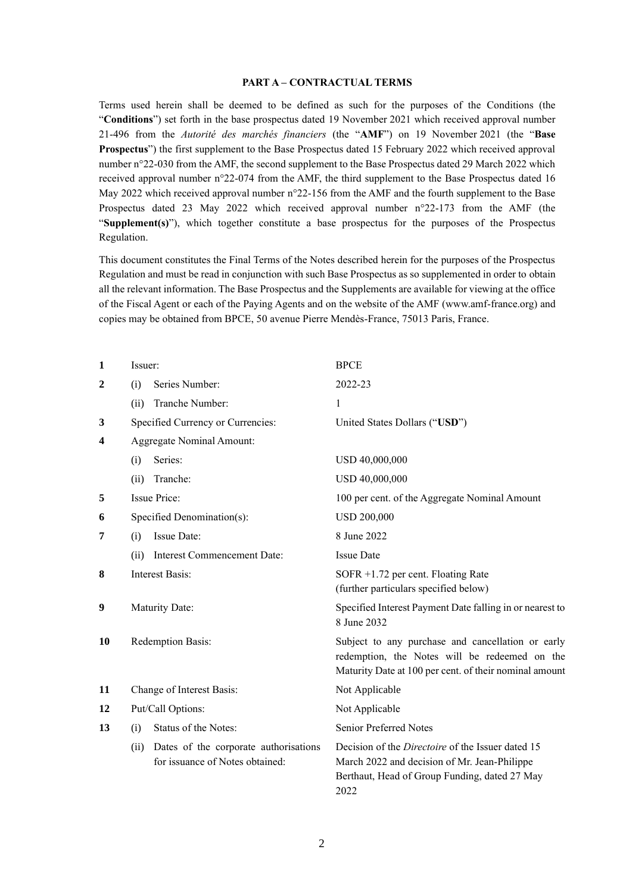#### **PART A – CONTRACTUAL TERMS**

Terms used herein shall be deemed to be defined as such for the purposes of the Conditions (the "**Conditions**") set forth in the base prospectus dated 19 November 2021 which received approval number 21-496 from the *Autorité des marchés financiers* (the "**AMF**") on 19 November 2021 (the "**Base Prospectus**") the first supplement to the Base Prospectus dated 15 February 2022 which received approval number n°22-030 from the AMF, the second supplement to the Base Prospectus dated 29 March 2022 which received approval number n°22-074 from the AMF, the third supplement to the Base Prospectus dated 16 May 2022 which received approval number n°22-156 from the AMF and the fourth supplement to the Base Prospectus dated 23 May 2022 which received approval number n°22-173 from the AMF (the "**Supplement(s)**"), which together constitute a base prospectus for the purposes of the Prospectus Regulation.

This document constitutes the Final Terms of the Notes described herein for the purposes of the Prospectus Regulation and must be read in conjunction with such Base Prospectus as so supplemented in order to obtain all the relevant information. The Base Prospectus and the Supplements are available for viewing at the office of the Fiscal Agent or each of the Paying Agents and on the website of the AMF (www.amf-france.org) and copies may be obtained from BPCE, 50 avenue Pierre Mendès-France, 75013 Paris, France.

| $\mathbf{1}$            | Issuer:                                                                          | <b>BPCE</b>                                                                                                                                                  |  |
|-------------------------|----------------------------------------------------------------------------------|--------------------------------------------------------------------------------------------------------------------------------------------------------------|--|
| $\overline{2}$          | Series Number:<br>(i)                                                            | 2022-23                                                                                                                                                      |  |
|                         | Tranche Number:<br>(ii)                                                          | 1                                                                                                                                                            |  |
| 3                       | Specified Currency or Currencies:                                                | United States Dollars ("USD")                                                                                                                                |  |
| $\overline{\mathbf{4}}$ | Aggregate Nominal Amount:                                                        |                                                                                                                                                              |  |
|                         | Series:<br>(i)                                                                   | USD 40,000,000                                                                                                                                               |  |
|                         | Tranche:<br>(ii)                                                                 | USD 40,000,000                                                                                                                                               |  |
| 5                       | <b>Issue Price:</b>                                                              | 100 per cent. of the Aggregate Nominal Amount                                                                                                                |  |
| 6                       | Specified Denomination(s):                                                       | <b>USD 200,000</b>                                                                                                                                           |  |
| 7                       | Issue Date:<br>(i)                                                               | 8 June 2022                                                                                                                                                  |  |
|                         | Interest Commencement Date:<br>(ii)                                              | <b>Issue Date</b>                                                                                                                                            |  |
| 8                       | <b>Interest Basis:</b>                                                           | SOFR +1.72 per cent. Floating Rate<br>(further particulars specified below)                                                                                  |  |
| $\boldsymbol{9}$        | Maturity Date:                                                                   | Specified Interest Payment Date falling in or nearest to<br>8 June 2032                                                                                      |  |
| 10                      | Redemption Basis:                                                                | Subject to any purchase and cancellation or early<br>redemption, the Notes will be redeemed on the<br>Maturity Date at 100 per cent. of their nominal amount |  |
| 11                      | Change of Interest Basis:                                                        | Not Applicable                                                                                                                                               |  |
| 12                      | Put/Call Options:                                                                | Not Applicable                                                                                                                                               |  |
| 13                      | Status of the Notes:<br>(i)                                                      | Senior Preferred Notes                                                                                                                                       |  |
|                         | Dates of the corporate authorisations<br>(ii)<br>for issuance of Notes obtained: | Decision of the Directoire of the Issuer dated 15<br>March 2022 and decision of Mr. Jean-Philippe<br>Berthaut, Head of Group Funding, dated 27 May<br>2022   |  |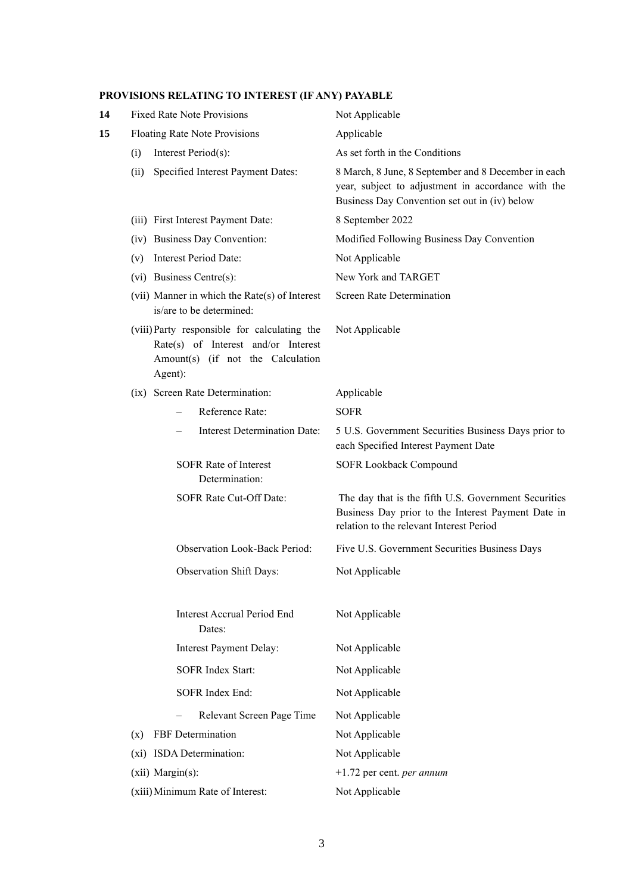# **PROVISIONS RELATING TO INTEREST (IF ANY) PAYABLE**

| 14 | <b>Fixed Rate Note Provisions</b>                                                                                                   | Not Applicable                                                                                                                                             |
|----|-------------------------------------------------------------------------------------------------------------------------------------|------------------------------------------------------------------------------------------------------------------------------------------------------------|
| 15 | Floating Rate Note Provisions                                                                                                       | Applicable                                                                                                                                                 |
|    | Interest Period(s):<br>(i)                                                                                                          | As set forth in the Conditions                                                                                                                             |
|    | Specified Interest Payment Dates:<br>(ii)                                                                                           | 8 March, 8 June, 8 September and 8 December in each<br>year, subject to adjustment in accordance with the<br>Business Day Convention set out in (iv) below |
|    | (iii) First Interest Payment Date:                                                                                                  | 8 September 2022                                                                                                                                           |
|    | (iv) Business Day Convention:                                                                                                       | Modified Following Business Day Convention                                                                                                                 |
|    | Interest Period Date:<br>(v)                                                                                                        | Not Applicable                                                                                                                                             |
|    | (vi) Business Centre(s):                                                                                                            | New York and TARGET                                                                                                                                        |
|    | (vii) Manner in which the Rate(s) of Interest<br>is/are to be determined:                                                           | Screen Rate Determination                                                                                                                                  |
|    | (viii) Party responsible for calculating the<br>Rate(s) of Interest and/or Interest<br>Amount(s) (if not the Calculation<br>Agent): | Not Applicable                                                                                                                                             |
|    | (ix) Screen Rate Determination:                                                                                                     | Applicable                                                                                                                                                 |
|    | Reference Rate:                                                                                                                     | <b>SOFR</b>                                                                                                                                                |
|    | <b>Interest Determination Date:</b>                                                                                                 | 5 U.S. Government Securities Business Days prior to<br>each Specified Interest Payment Date                                                                |
|    | <b>SOFR Rate of Interest</b><br>Determination:                                                                                      | SOFR Lookback Compound                                                                                                                                     |
|    | SOFR Rate Cut-Off Date:                                                                                                             | The day that is the fifth U.S. Government Securities<br>Business Day prior to the Interest Payment Date in<br>relation to the relevant Interest Period     |
|    | <b>Observation Look-Back Period:</b>                                                                                                | Five U.S. Government Securities Business Days                                                                                                              |
|    | <b>Observation Shift Days:</b>                                                                                                      | Not Applicable                                                                                                                                             |
|    | Interest Accrual Period End<br>Dates:                                                                                               | Not Applicable                                                                                                                                             |
|    | <b>Interest Payment Delay:</b>                                                                                                      | Not Applicable                                                                                                                                             |
|    | <b>SOFR Index Start:</b>                                                                                                            | Not Applicable                                                                                                                                             |
|    | <b>SOFR Index End:</b>                                                                                                              | Not Applicable                                                                                                                                             |
|    | Relevant Screen Page Time                                                                                                           | Not Applicable                                                                                                                                             |
|    | FBF Determination<br>(x)                                                                                                            | Not Applicable                                                                                                                                             |
|    | (xi) ISDA Determination:                                                                                                            | Not Applicable                                                                                                                                             |
|    | $(xii)$ Margin $(s)$ :                                                                                                              | $+1.72$ per cent. <i>per annum</i>                                                                                                                         |
|    | (xiii) Minimum Rate of Interest:                                                                                                    | Not Applicable                                                                                                                                             |
|    |                                                                                                                                     |                                                                                                                                                            |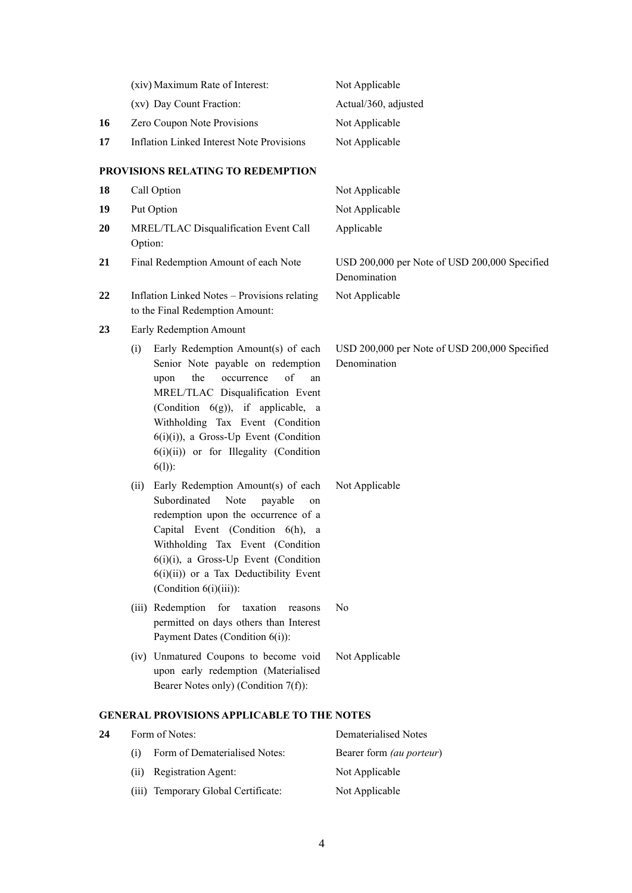|                                                   |                                                  | (xiv) Maximum Rate of Interest:                                                                                                                                                                                                                                                                                                    | Not Applicable                                                |
|---------------------------------------------------|--------------------------------------------------|------------------------------------------------------------------------------------------------------------------------------------------------------------------------------------------------------------------------------------------------------------------------------------------------------------------------------------|---------------------------------------------------------------|
|                                                   |                                                  | (xv) Day Count Fraction:                                                                                                                                                                                                                                                                                                           | Actual/360, adjusted                                          |
| 16                                                |                                                  | Zero Coupon Note Provisions                                                                                                                                                                                                                                                                                                        | Not Applicable                                                |
| 17                                                |                                                  | <b>Inflation Linked Interest Note Provisions</b>                                                                                                                                                                                                                                                                                   | Not Applicable                                                |
|                                                   |                                                  |                                                                                                                                                                                                                                                                                                                                    |                                                               |
|                                                   |                                                  | PROVISIONS RELATING TO REDEMPTION                                                                                                                                                                                                                                                                                                  |                                                               |
| 18                                                |                                                  | Call Option                                                                                                                                                                                                                                                                                                                        | Not Applicable                                                |
| 19                                                |                                                  | Put Option                                                                                                                                                                                                                                                                                                                         | Not Applicable                                                |
| 20                                                | MREL/TLAC Disqualification Event Call<br>Option: |                                                                                                                                                                                                                                                                                                                                    | Applicable                                                    |
| 21                                                | Final Redemption Amount of each Note             |                                                                                                                                                                                                                                                                                                                                    | USD 200,000 per Note of USD 200,000 Specified<br>Denomination |
| 22                                                |                                                  | Inflation Linked Notes - Provisions relating<br>to the Final Redemption Amount:                                                                                                                                                                                                                                                    | Not Applicable                                                |
| 23                                                |                                                  | Early Redemption Amount                                                                                                                                                                                                                                                                                                            |                                                               |
|                                                   | (i)                                              | Early Redemption Amount(s) of each<br>Senior Note payable on redemption<br>of<br>the<br>occurrence<br>upon<br>an<br>MREL/TLAC Disqualification Event<br>(Condition $6(g)$ ), if applicable, a<br>Withholding Tax Event (Condition<br>$6(i)(i)$ , a Gross-Up Event (Condition<br>6(i)(ii)) or for Illegality (Condition<br>$6(1)$ : | USD 200,000 per Note of USD 200,000 Specified<br>Denomination |
|                                                   | (ii)                                             | Early Redemption Amount(s) of each<br>Subordinated<br>Note<br>payable<br>on<br>redemption upon the occurrence of a<br>Capital Event (Condition 6(h), a<br>Withholding Tax Event (Condition<br>$6(i)(i)$ , a Gross-Up Event (Condition<br>$6(i)(ii)$ or a Tax Deductibility Event<br>(Condition 6(i)(iii)):                         | Not Applicable                                                |
|                                                   |                                                  | for taxation<br>(iii) Redemption<br>reasons<br>permitted on days others than Interest<br>Payment Dates (Condition 6(i)):                                                                                                                                                                                                           | No                                                            |
|                                                   |                                                  | (iv) Unmatured Coupons to become void<br>upon early redemption (Materialised<br>Bearer Notes only) (Condition 7(f)):                                                                                                                                                                                                               | Not Applicable                                                |
| <b>GENERAL PROVISIONS APPLICABLE TO THE NOTES</b> |                                                  |                                                                                                                                                                                                                                                                                                                                    |                                                               |
| 24                                                |                                                  | Form of Notes:                                                                                                                                                                                                                                                                                                                     | <b>Dematerialised Notes</b>                                   |
|                                                   | (i)                                              | Form of Dematerialised Notes:                                                                                                                                                                                                                                                                                                      | Bearer form (au porteur)                                      |
|                                                   | (ii)                                             | Registration Agent:                                                                                                                                                                                                                                                                                                                | Not Applicable                                                |

(iii) Temporary Global Certificate: Not Applicable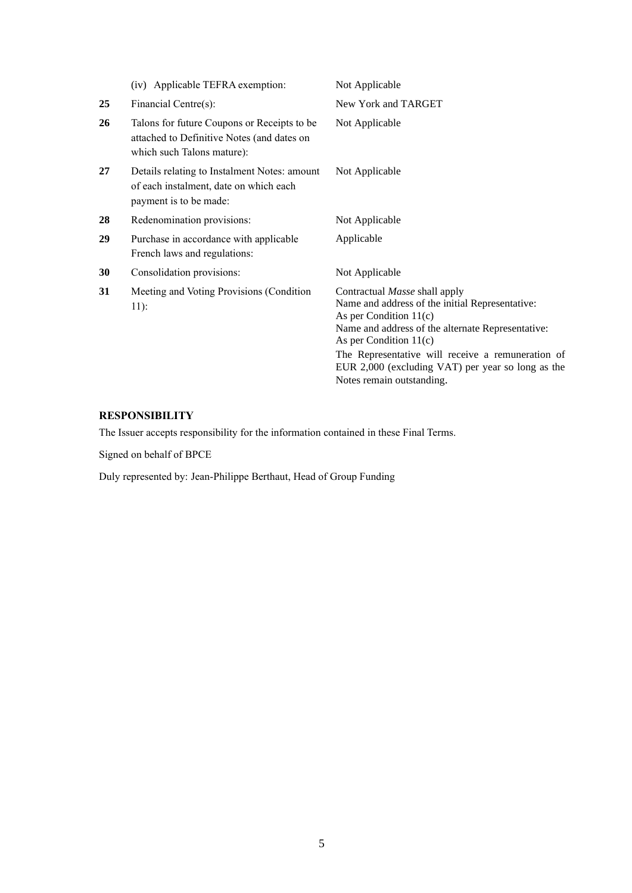|    | (iv) Applicable TEFRA exemption:                                                                                        | Not Applicable                                                                                                                                                                                |
|----|-------------------------------------------------------------------------------------------------------------------------|-----------------------------------------------------------------------------------------------------------------------------------------------------------------------------------------------|
| 25 | Financial Centre(s):                                                                                                    | New York and TARGET                                                                                                                                                                           |
| 26 | Talons for future Coupons or Receipts to be<br>attached to Definitive Notes (and dates on<br>which such Talons mature): | Not Applicable                                                                                                                                                                                |
| 27 | Details relating to Instalment Notes: amount<br>of each instalment, date on which each<br>payment is to be made:        | Not Applicable                                                                                                                                                                                |
| 28 | Redenomination provisions:                                                                                              | Not Applicable                                                                                                                                                                                |
| 29 | Purchase in accordance with applicable<br>French laws and regulations:                                                  | Applicable                                                                                                                                                                                    |
| 30 | Consolidation provisions:                                                                                               | Not Applicable                                                                                                                                                                                |
| 31 | Meeting and Voting Provisions (Condition<br>$11$ :                                                                      | Contractual Masse shall apply<br>Name and address of the initial Representative:<br>As per Condition $11(c)$<br>Name and address of the alternate Representative:<br>As per Condition $11(c)$ |
|    |                                                                                                                         | The Representative will receive a remuneration of<br>EUR 2,000 (excluding VAT) per year so long as the<br>Notes remain outstanding.                                                           |

# **RESPONSIBILITY**

The Issuer accepts responsibility for the information contained in these Final Terms.

Signed on behalf of BPCE

Duly represented by: Jean-Philippe Berthaut, Head of Group Funding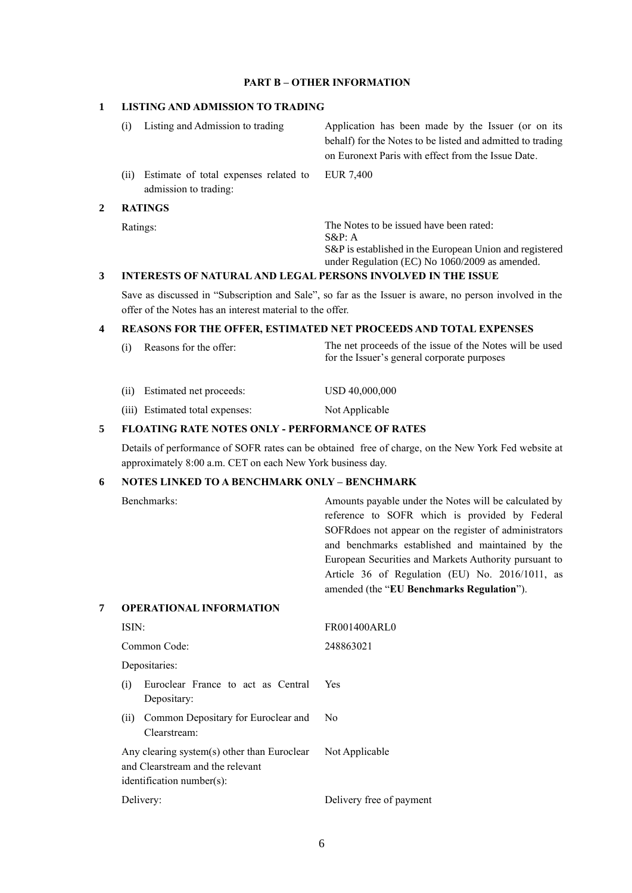### **PART B – OTHER INFORMATION**

#### **1 LISTING AND ADMISSION TO TRADING**

- 
- (ii) Estimate of total expenses related to admission to trading:

#### **2 RATINGS**

(i) Listing and Admission to trading Application has been made by the Issuer (or on its behalf) for the Notes to be listed and admitted to trading on Euronext Paris with effect from the Issue Date.

EUR 7,400

Ratings: The Notes to be issued have been rated: S&P: A S&P is established in the European Union and registered under Regulation (EC) No 1060/2009 as amended.

### **3 INTERESTS OF NATURAL AND LEGAL PERSONS INVOLVED IN THE ISSUE**

Save as discussed in "Subscription and Sale", so far as the Issuer is aware, no person involved in the offer of the Notes has an interest material to the offer.

#### **4 REASONS FOR THE OFFER, ESTIMATED NET PROCEEDS AND TOTAL EXPENSES**

(i) Reasons for the offer: The net proceeds of the issue of the Notes will be used for the Issuer's general corporate purposes

| (ii) | Estimated net proceeds:         | USD 40,000,000 |
|------|---------------------------------|----------------|
|      | (iii) Estimated total expenses: | Not Applicable |

### **5 FLOATING RATE NOTES ONLY - PERFORMANCE OF RATES**

Details of performance of SOFR rates can be obtained free of charge, on the New York Fed website at approximately 8:00 a.m. CET on each New York business day.

#### **6 NOTES LINKED TO A BENCHMARK ONLY – BENCHMARK**

Benchmarks: Amounts payable under the Notes will be calculated by reference to SOFR which is provided by Federal SOFRdoes not appear on the register of administrators and benchmarks established and maintained by the European Securities and Markets Authority pursuant to Article 36 of Regulation (EU) No. 2016/1011, as amended (the "**EU Benchmarks Regulation**").

# **7 OPERATIONAL INFORMATION** ISIN: FR001400ARL0 Common Code: 248863021 Depositaries: (i) Euroclear France to act as Central Depositary: Yes (ii) Common Depositary for Euroclear and Clearstream: No Any clearing system(s) other than Euroclear and Clearstream and the relevant identification number(s): Not Applicable Delivery: Delivery free of payment